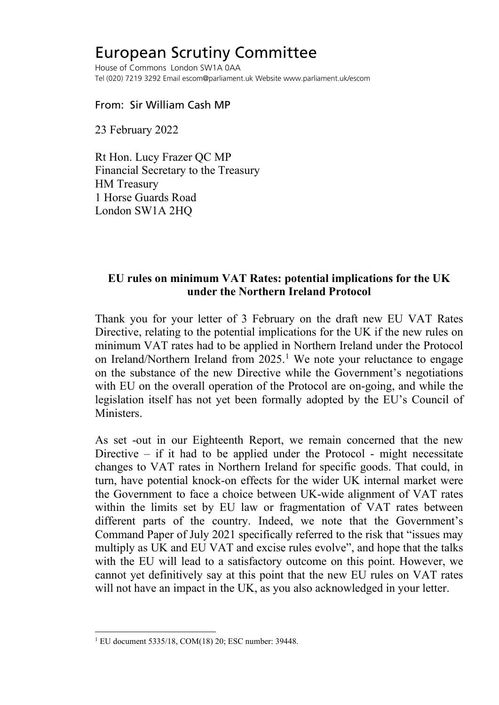## European Scrutiny Committee

House of Commons London SW1A 0AA Tel (020) 7219 3292 Email escom@parliament.uk Website www.parliament.uk/escom

From: Sir William Cash MP

23 February 2022

Rt Hon. Lucy Frazer QC MP Financial Secretary to the Treasury HM Treasury 1 Horse Guards Road London SW1A 2HQ

## **EU rules on minimum VAT Rates: potential implications for the UK under the Northern Ireland Protocol**

Thank you for your letter of 3 February on the draft new EU VAT Rates Directive, relating to the potential implications for the UK if the new rules on minimum VAT rates had to be applied in Northern Ireland under the Protocol on Ireland/Northern Ireland from 2025.<sup>[1](#page-0-0)</sup> We note your reluctance to engage on the substance of the new Directive while the Government's negotiations with EU on the overall operation of the Protocol are on-going, and while the legislation itself has not yet been formally adopted by the EU's Council of Ministers.

As set -out in our Eighteenth Report, we remain concerned that the new Directive – if it had to be applied under the Protocol - might necessitate changes to VAT rates in Northern Ireland for specific goods. That could, in turn, have potential knock-on effects for the wider UK internal market were the Government to face a choice between UK-wide alignment of VAT rates within the limits set by EU law or fragmentation of VAT rates between different parts of the country. Indeed, we note that the Government's Command Paper of July 2021 specifically referred to the risk that "issues may multiply as UK and EU VAT and excise rules evolve", and hope that the talks with the EU will lead to a satisfactory outcome on this point. However, we cannot yet definitively say at this point that the new EU rules on VAT rates will not have an impact in the UK, as you also acknowledged in your letter.

<span id="page-0-0"></span><sup>1</sup> EU document 5335/18, COM(18) 20; ESC number: 39448.